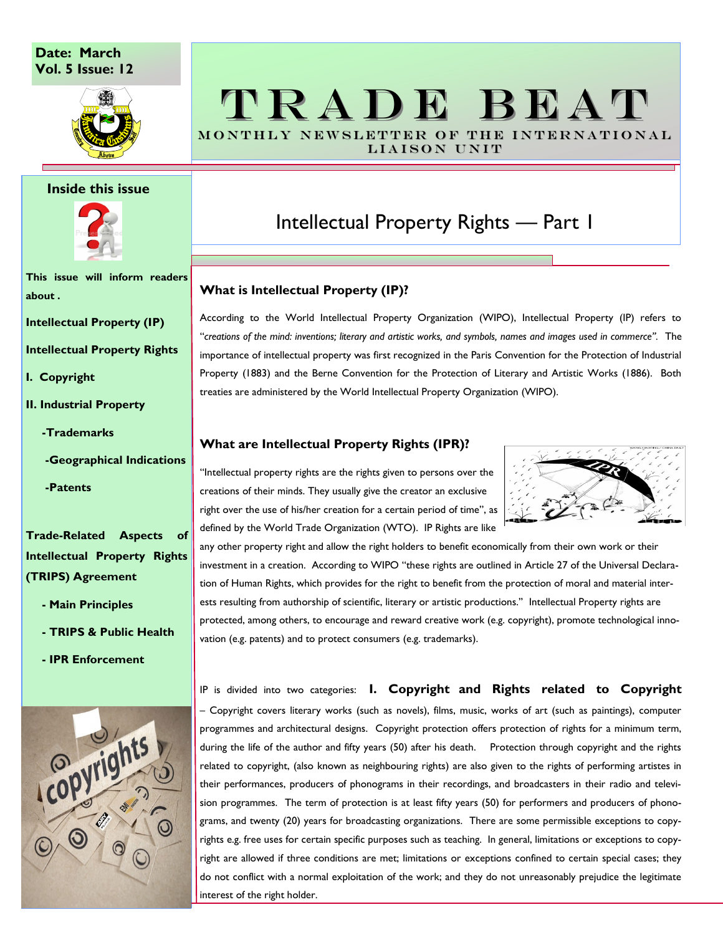#### **Date: March Vol. 5 Issue: 12**



#### **Inside this issue**



**This issue will inform readers about .**

**Intellectual Property (IP)**

**Intellectual Property Rights**

- **I. Copyright**
- **II. Industrial Property**
	- **-Trademarks**
	- **-Geographical Indications**

 **-Patents**

**Trade-Related Aspects of Intellectual Property Rights (TRIPS) Agreement**

- **- Main Principles**
- **- TRIPS & Public Health**
- **- IPR Enforcement**



## TRADE BEAT MONTHLY NEWSLETTER OF THE INTERNATIONAL

LIAISON UNIT

### Intellectual Property Rights — Part 1

#### **What is Intellectual Property (IP)?**

According to the World Intellectual Property Organization (WIPO), Intellectual Property (IP) refers to ''*creations of the mind: inventions; literary and artistic works, and symbols, names and images used in commerce''.* The importance of intellectual property was first recognized in the Paris Convention for the Protection of Industrial Property (1883) and the Berne Convention for the Protection of Literary and Artistic Works (1886). Both treaties are administered by the World Intellectual Property Organization (WIPO).

#### **What are Intellectual Property Rights (IPR)?**

''Intellectual property rights are the rights given to persons over the creations of their minds. They usually give the creator an exclusive right over the use of his/her creation for a certain period of time'', as defined by the World Trade Organization (WTO). IP Rights are like



any other property right and allow the right holders to benefit economically from their own work or their investment in a creation. According to WIPO ''these rights are outlined in Article 27 of the Universal Declaration of Human Rights, which provides for the right to benefit from the protection of moral and material interests resulting from authorship of scientific, literary or artistic productions.'' Intellectual Property rights are protected, among others, to encourage and reward creative work (e.g. copyright), promote technological innovation (e.g. patents) and to protect consumers (e.g. trademarks).

IP is divided into two categories: **I. Copyright and Rights related to Copyright** – Copyright covers literary works (such as novels), films, music, works of art (such as paintings), computer programmes and architectural designs. Copyright protection offers protection of rights for a minimum term, during the life of the author and fifty years (50) after his death. Protection through copyright and the rights related to copyright, (also known as neighbouring rights) are also given to the rights of performing artistes in their performances, producers of phonograms in their recordings, and broadcasters in their radio and television programmes. The term of protection is at least fifty years (50) for performers and producers of phonograms, and twenty (20) years for broadcasting organizations. There are some permissible exceptions to copyrights e.g. free uses for certain specific purposes such as teaching. In general, limitations or exceptions to copyright are allowed if three conditions are met; limitations or exceptions confined to certain special cases; they do not conflict with a normal exploitation of the work; and they do not unreasonably prejudice the legitimate interest of the right holder.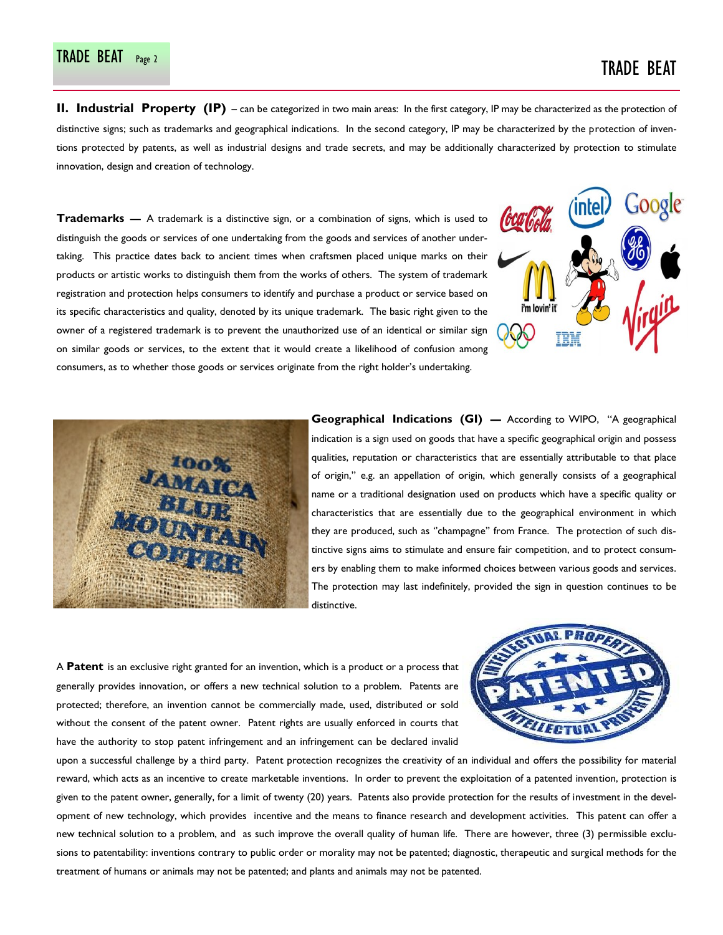# TRADE BEAT Page 2 TRADE BEAT

**II. Industrial Property (IP)** – can be categorized in two main areas: In the first category, IP may be characterized as the protection of distinctive signs; such as trademarks and geographical indications. In the second category, IP may be characterized by the protection of inventions protected by patents, as well as industrial designs and trade secrets, and may be additionally characterized by protection to stimulate innovation, design and creation of technology.

**Trademarks —** A trademark is a distinctive sign, or a combination of signs, which is used to distinguish the goods or services of one undertaking from the goods and services of another undertaking. This practice dates back to ancient times when craftsmen placed unique marks on their products or artistic works to distinguish them from the works of others. The system of trademark registration and protection helps consumers to identify and purchase a product or service based on its specific characteristics and quality, denoted by its unique trademark. The basic right given to the owner of a registered trademark is to prevent the unauthorized use of an identical or similar sign on similar goods or services, to the extent that it would create a likelihood of confusion among consumers, as to whether those goods or services originate from the right holder's undertaking.





**Geographical Indications (GI) —** According to WIPO, ''A geographical indication is a sign used on goods that have a specific geographical origin and possess qualities, reputation or characteristics that are essentially attributable to that place of origin,'' e.g. an appellation of origin, which generally consists of a geographical name or a traditional designation used on products which have a specific quality or characteristics that are essentially due to the geographical environment in which they are produced, such as ''champagne'' from France. The protection of such distinctive signs aims to stimulate and ensure fair competition, and to protect consumers by enabling them to make informed choices between various goods and services. The protection may last indefinitely, provided the sign in question continues to be distinctive.

A **Patent** is an exclusive right granted for an invention, which is a product or a process that generally provides innovation, or offers a new technical solution to a problem. Patents are protected; therefore, an invention cannot be commercially made, used, distributed or sold without the consent of the patent owner. Patent rights are usually enforced in courts that have the authority to stop patent infringement and an infringement can be declared invalid



upon a successful challenge by a third party. Patent protection recognizes the creativity of an individual and offers the possibility for material reward, which acts as an incentive to create marketable inventions. In order to prevent the exploitation of a patented invention, protection is given to the patent owner, generally, for a limit of twenty (20) years. Patents also provide protection for the results of investment in the development of new technology, which provides incentive and the means to finance research and development activities. This patent can offer a new technical solution to a problem, and as such improve the overall quality of human life. There are however, three (3) permissible exclusions to patentability: inventions contrary to public order or morality may not be patented; diagnostic, therapeutic and surgical methods for the treatment of humans or animals may not be patented; and plants and animals may not be patented.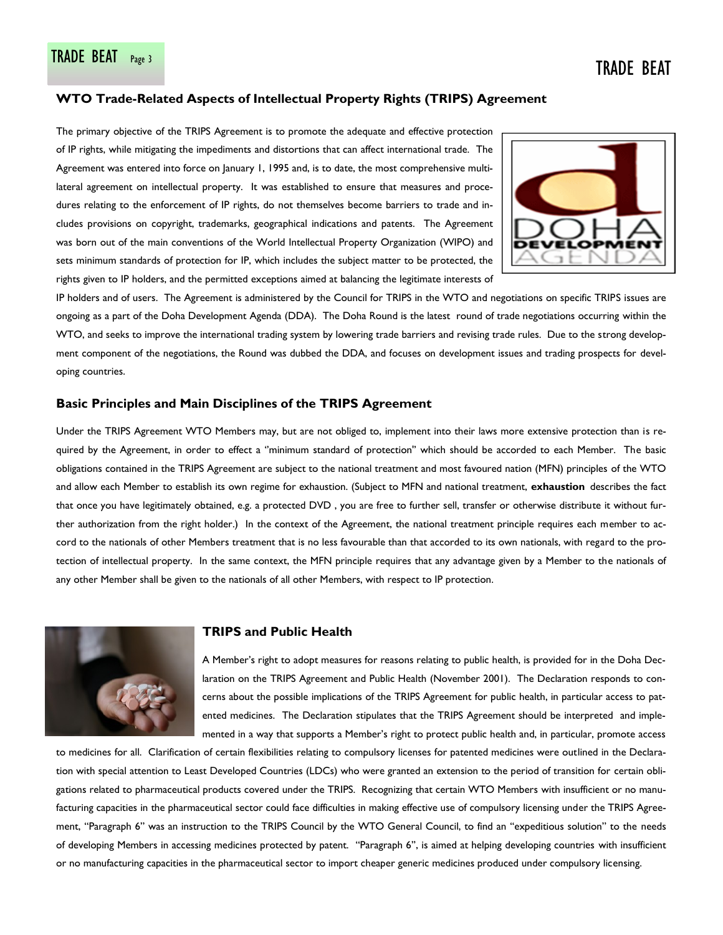#### **WTO Trade-Related Aspects of Intellectual Property Rights (TRIPS) Agreement**

The primary objective of the TRIPS Agreement is to promote the adequate and effective protection of IP rights, while mitigating the impediments and distortions that can affect international trade. The Agreement was entered into force on January 1, 1995 and, is to date, the most comprehensive multilateral agreement on intellectual property. It was established to ensure that measures and procedures relating to the enforcement of IP rights, do not themselves become barriers to trade and includes provisions on copyright, trademarks, geographical indications and patents. The Agreement was born out of the main conventions of the World Intellectual Property Organization (WIPO) and sets minimum standards of protection for IP, which includes the subject matter to be protected, the rights given to IP holders, and the permitted exceptions aimed at balancing the legitimate interests of



IP holders and of users. The Agreement is administered by the Council for TRIPS in the WTO and negotiations on specific TRIPS issues are ongoing as a part of the Doha Development Agenda (DDA). The Doha Round is the latest round of trade negotiations occurring within the WTO, and seeks to improve the international trading system by lowering trade barriers and revising trade rules. Due to the strong development component of the negotiations, the Round was dubbed the DDA, and focuses on development issues and trading prospects for developing countries.

#### **Basic Principles and Main Disciplines of the TRIPS Agreement**

Under the TRIPS Agreement WTO Members may, but are not obliged to, implement into their laws more extensive protection than is required by the Agreement, in order to effect a ''minimum standard of protection'' which should be accorded to each Member. The basic obligations contained in the TRIPS Agreement are subject to the national treatment and most favoured nation (MFN) principles of the WTO and allow each Member to establish its own regime for exhaustion. (Subject to MFN and national treatment, **exhaustion** describes the fact that once you have legitimately obtained, e.g. a protected DVD , you are free to further sell, transfer or otherwise distribute it without further authorization from the right holder.) In the context of the Agreement, the national treatment principle requires each member to accord to the nationals of other Members treatment that is no less favourable than that accorded to its own nationals, with regard to the protection of intellectual property. In the same context, the MFN principle requires that any advantage given by a Member to the nationals of any other Member shall be given to the nationals of all other Members, with respect to IP protection.



#### **TRIPS and Public Health**

A Member's right to adopt measures for reasons relating to public health, is provided for in the Doha Declaration on the TRIPS Agreement and Public Health (November 2001). The Declaration responds to concerns about the possible implications of the TRIPS Agreement for public health, in particular access to patented medicines. The Declaration stipulates that the TRIPS Agreement should be interpreted and implemented in a way that supports a Member's right to protect public health and, in particular, promote access

to medicines for all. Clarification of certain flexibilities relating to compulsory licenses for patented medicines were outlined in the Declaration with special attention to Least Developed Countries (LDCs) who were granted an extension to the period of transition for certain obligations related to pharmaceutical products covered under the TRIPS. Recognizing that certain WTO Members with insufficient or no manufacturing capacities in the pharmaceutical sector could face difficulties in making effective use of compulsory licensing under the TRIPS Agreement, ''Paragraph 6'' was an instruction to the TRIPS Council by the WTO General Council, to find an ''expeditious solution'' to the needs of developing Members in accessing medicines protected by patent. ''Paragraph 6'', is aimed at helping developing countries with insufficient or no manufacturing capacities in the pharmaceutical sector to import cheaper generic medicines produced under compulsory licensing.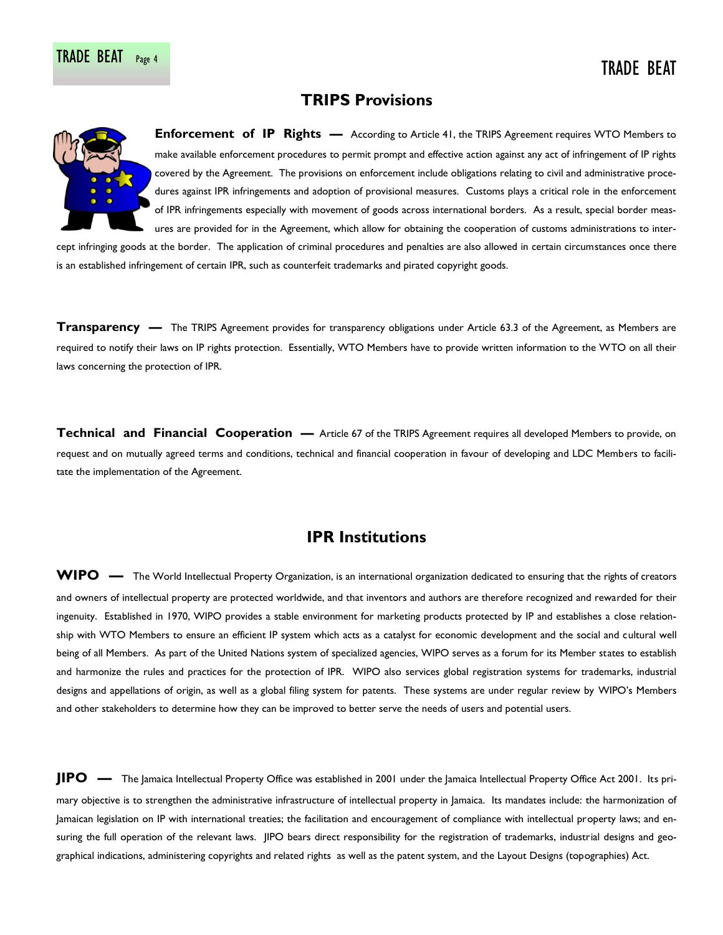### **TRIPS Provisions**



**Enforcement of IP Rights —** According to Article 41, the TRIPS Agreement requires WTO Members to make available enforcement procedures to permit prompt and effective action against any act of infringement of IP rights covered by the Agreement. The provisions on enforcement include obligations relating to civil and administrative procedures against IPR infringements and adoption of provisional measures. Customs plays a critical role in the enforcement of IPR infringements especially with movement of goods across international borders. As a result, special border measures are provided for in the Agreement, which allow for obtaining the cooperation of customs administrations to inter-

cept infringing goods at the border. The application of criminal procedures and penalties are also allowed in certain circumstances once there is an established infringement of certain IPR, such as counterfeit trademarks and pirated copyright goods.

**Transparency —** The TRIPS Agreement provides for transparency obligations under Article 63.3 of the Agreement, as Members are required to notify their laws on IP rights protection. Essentially, WTO Members have to provide written information to the WTO on all their laws concerning the protection of IPR.

**Technical and Financial Cooperation — Article 67 of the TRIPS Agreement requires all developed Members to provide, on** request and on mutually agreed terms and conditions, technical and financial cooperation in favour of developing and LDC Members to facilitate the implementation of the Agreement.

### **IPR Institutions**

WIPO — The World Intellectual Property Organization, is an international organization dedicated to ensuring that the rights of creators and owners of intellectual property are protected worldwide, and that inventors and authors are therefore recognized and rewarded for their ingenuity. Established in 1970, WIPO provides a stable environment for marketing products protected by IP and establishes a close relationship with WTO Members to ensure an efficient IP system which acts as a catalyst for economic development and the social and cultural well being of all Members. As part of the United Nations system of specialized agencies, WIPO serves as a forum for its Member states to establish and harmonize the rules and practices for the protection of IPR. WIPO also services global registration systems for trademarks, industrial designs and appellations of origin, as well as a global filing system for patents. These systems are under regular review by WIPO's Members and other stakeholders to determine how they can be improved to better serve the needs of users and potential users.

**JIPO —** The Jamaica Intellectual Property Office was established in 2001 under the Jamaica Intellectual Property Office Act 2001. Its primary objective is to strengthen the administrative infrastructure of intellectual property in Jamaica. Its mandates include: the harmonization of Jamaican legislation on IP with international treaties; the facilitation and encouragement of compliance with intellectual property laws; and ensuring the full operation of the relevant laws. JIPO bears direct responsibility for the registration of trademarks, industrial designs and geographical indications, administering copyrights and related rights as well as the patent system, and the Layout Designs (topographies) Act.